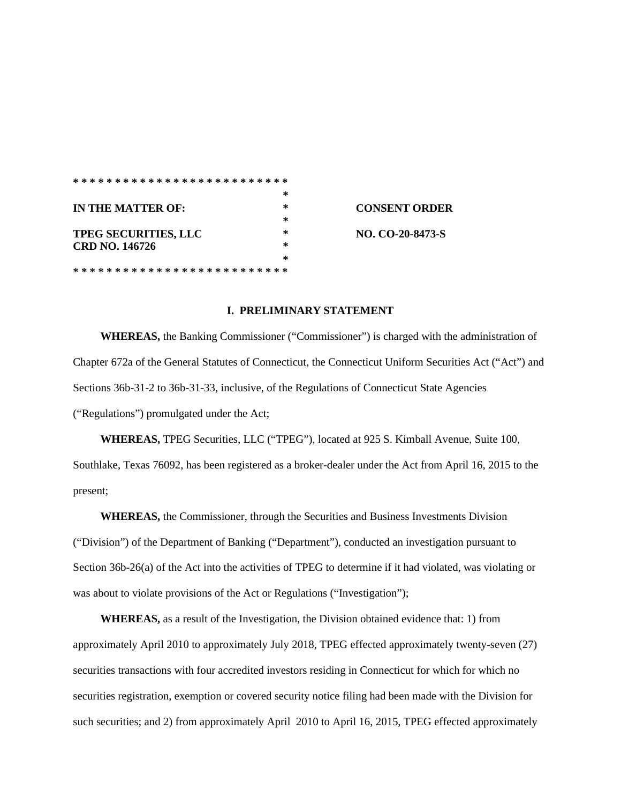|                             | ∗ |                      |
|-----------------------------|---|----------------------|
| IN THE MATTER OF:           | * | <b>CONSENT ORDER</b> |
|                             | * |                      |
| <b>TPEG SECURITIES, LLC</b> | * | NO. CO-20-8473-S     |
| <b>CRD NO. 146726</b>       | * |                      |
|                             | ∗ |                      |
|                             |   |                      |

### **I. PRELIMINARY STATEMENT**

**WHEREAS,** the Banking Commissioner ("Commissioner") is charged with the administration of Chapter 672a of the General Statutes of Connecticut, the Connecticut Uniform Securities Act ("Act") and Sections 36b-31-2 to 36b-31-33, inclusive, of the Regulations of Connecticut State Agencies ("Regulations") promulgated under the Act;

**WHEREAS,** TPEG Securities, LLC ("TPEG"), located at 925 S. Kimball Avenue, Suite 100, Southlake, Texas 76092, has been registered as a broker-dealer under the Act from April 16, 2015 to the present;

**WHEREAS,** the Commissioner, through the Securities and Business Investments Division ("Division") of the Department of Banking ("Department"), conducted an investigation pursuant to Section 36b-26(a) of the Act into the activities of TPEG to determine if it had violated, was violating or was about to violate provisions of the Act or Regulations ("Investigation");

**WHEREAS,** as a result of the Investigation, the Division obtained evidence that: 1) from approximately April 2010 to approximately July 2018, TPEG effected approximately twenty-seven (27) securities transactions with four accredited investors residing in Connecticut for which for which no securities registration, exemption or covered security notice filing had been made with the Division for such securities; and 2) from approximately April 2010 to April 16, 2015, TPEG effected approximately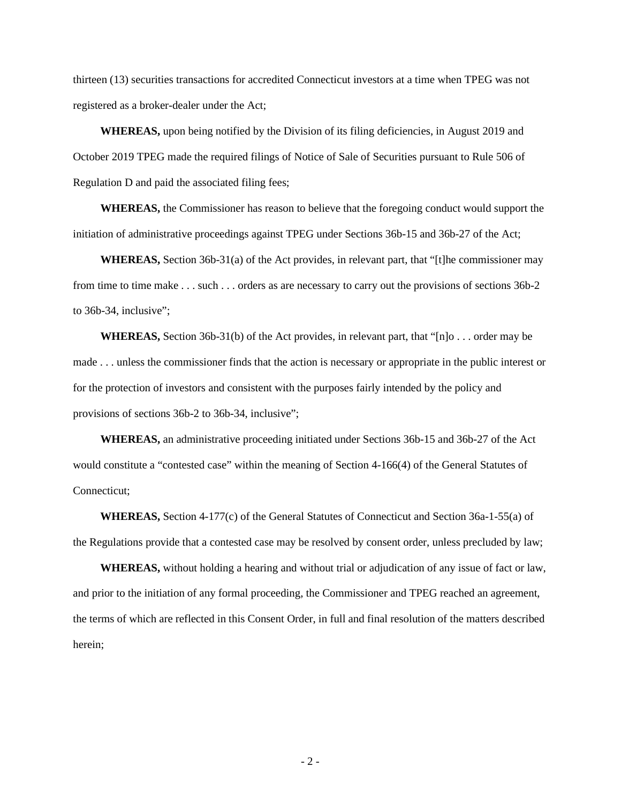thirteen (13) securities transactions for accredited Connecticut investors at a time when TPEG was not registered as a broker-dealer under the Act;

**WHEREAS,** upon being notified by the Division of its filing deficiencies, in August 2019 and October 2019 TPEG made the required filings of Notice of Sale of Securities pursuant to Rule 506 of Regulation D and paid the associated filing fees;

**WHEREAS,** the Commissioner has reason to believe that the foregoing conduct would support the initiation of administrative proceedings against TPEG under Sections 36b-15 and 36b-27 of the Act;

**WHEREAS,** Section 36b-31(a) of the Act provides, in relevant part, that "[t]he commissioner may from time to time make . . . such . . . orders as are necessary to carry out the provisions of sections 36b-2 to 36b-34, inclusive";

**WHEREAS,** Section 36b-31(b) of the Act provides, in relevant part, that "[n]o . . . order may be made . . . unless the commissioner finds that the action is necessary or appropriate in the public interest or for the protection of investors and consistent with the purposes fairly intended by the policy and provisions of sections 36b-2 to 36b-34, inclusive";

**WHEREAS,** an administrative proceeding initiated under Sections 36b-15 and 36b-27 of the Act would constitute a "contested case" within the meaning of Section 4-166(4) of the General Statutes of Connecticut;

**WHEREAS,** Section 4-177(c) of the General Statutes of Connecticut and Section 36a-1-55(a) of the Regulations provide that a contested case may be resolved by consent order, unless precluded by law;

**WHEREAS,** without holding a hearing and without trial or adjudication of any issue of fact or law, and prior to the initiation of any formal proceeding, the Commissioner and TPEG reached an agreement, the terms of which are reflected in this Consent Order, in full and final resolution of the matters described herein;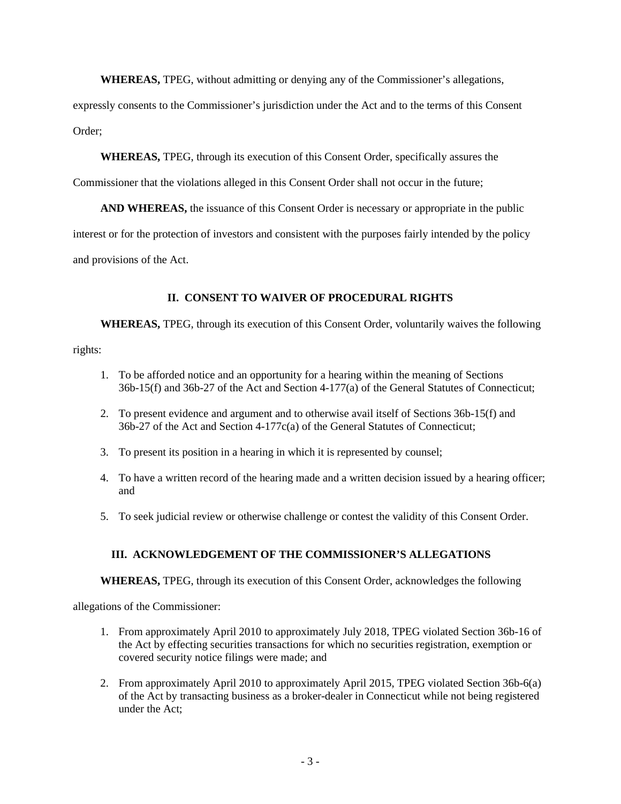**WHEREAS,** TPEG, without admitting or denying any of the Commissioner's allegations,

expressly consents to the Commissioner's jurisdiction under the Act and to the terms of this Consent Order;

**WHEREAS,** TPEG, through its execution of this Consent Order, specifically assures the

Commissioner that the violations alleged in this Consent Order shall not occur in the future;

**AND WHEREAS,** the issuance of this Consent Order is necessary or appropriate in the public interest or for the protection of investors and consistent with the purposes fairly intended by the policy and provisions of the Act.

# **II. CONSENT TO WAIVER OF PROCEDURAL RIGHTS**

**WHEREAS,** TPEG, through its execution of this Consent Order, voluntarily waives the following

rights:

- 1. To be afforded notice and an opportunity for a hearing within the meaning of Sections 36b-15(f) and 36b-27 of the Act and Section 4-177(a) of the General Statutes of Connecticut;
- 2. To present evidence and argument and to otherwise avail itself of Sections 36b-15(f) and 36b-27 of the Act and Section 4-177c(a) of the General Statutes of Connecticut;
- 3. To present its position in a hearing in which it is represented by counsel;
- 4. To have a written record of the hearing made and a written decision issued by a hearing officer; and
- 5. To seek judicial review or otherwise challenge or contest the validity of this Consent Order.

# **III. ACKNOWLEDGEMENT OF THE COMMISSIONER'S ALLEGATIONS**

**WHEREAS,** TPEG, through its execution of this Consent Order, acknowledges the following

allegations of the Commissioner:

- 1. From approximately April 2010 to approximately July 2018, TPEG violated Section 36b-16 of the Act by effecting securities transactions for which no securities registration, exemption or covered security notice filings were made; and
- 2. From approximately April 2010 to approximately April 2015, TPEG violated Section 36b-6(a) of the Act by transacting business as a broker-dealer in Connecticut while not being registered under the Act;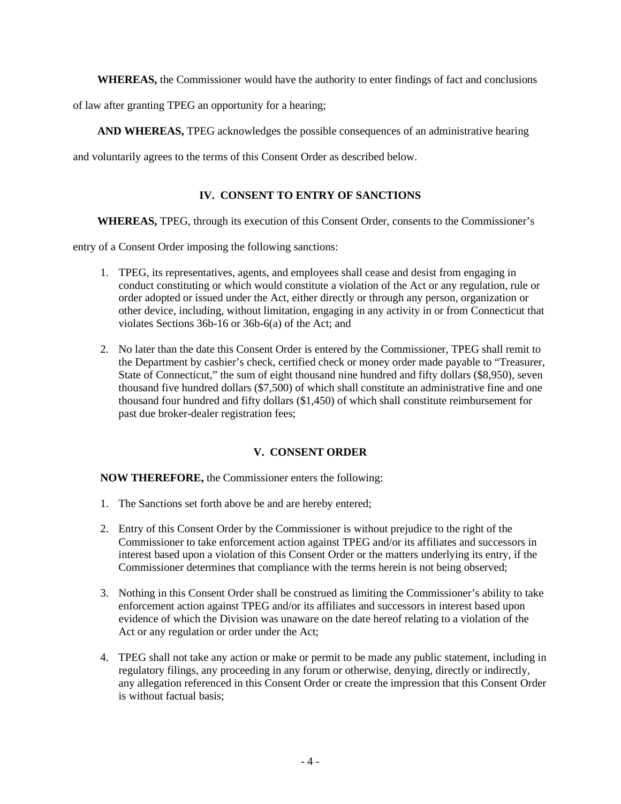**WHEREAS,** the Commissioner would have the authority to enter findings of fact and conclusions

of law after granting TPEG an opportunity for a hearing;

**AND WHEREAS,** TPEG acknowledges the possible consequences of an administrative hearing

and voluntarily agrees to the terms of this Consent Order as described below.

# **IV. CONSENT TO ENTRY OF SANCTIONS**

**WHEREAS,** TPEG, through its execution of this Consent Order, consents to the Commissioner's

entry of a Consent Order imposing the following sanctions:

- 1. TPEG, its representatives, agents, and employees shall cease and desist from engaging in conduct constituting or which would constitute a violation of the Act or any regulation, rule or order adopted or issued under the Act, either directly or through any person, organization or other device, including, without limitation, engaging in any activity in or from Connecticut that violates Sections 36b-16 or 36b-6(a) of the Act; and
- 2. No later than the date this Consent Order is entered by the Commissioner, TPEG shall remit to the Department by cashier's check, certified check or money order made payable to "Treasurer, State of Connecticut," the sum of eight thousand nine hundred and fifty dollars (\$8,950), seven thousand five hundred dollars (\$7,500) of which shall constitute an administrative fine and one thousand four hundred and fifty dollars (\$1,450) of which shall constitute reimbursement for past due broker-dealer registration fees;

# **V. CONSENT ORDER**

**NOW THEREFORE,** the Commissioner enters the following:

- 1. The Sanctions set forth above be and are hereby entered;
- 2. Entry of this Consent Order by the Commissioner is without prejudice to the right of the Commissioner to take enforcement action against TPEG and/or its affiliates and successors in interest based upon a violation of this Consent Order or the matters underlying its entry, if the Commissioner determines that compliance with the terms herein is not being observed;
- 3. Nothing in this Consent Order shall be construed as limiting the Commissioner's ability to take enforcement action against TPEG and/or its affiliates and successors in interest based upon evidence of which the Division was unaware on the date hereof relating to a violation of the Act or any regulation or order under the Act;
- 4. TPEG shall not take any action or make or permit to be made any public statement, including in regulatory filings, any proceeding in any forum or otherwise, denying, directly or indirectly, any allegation referenced in this Consent Order or create the impression that this Consent Order is without factual basis;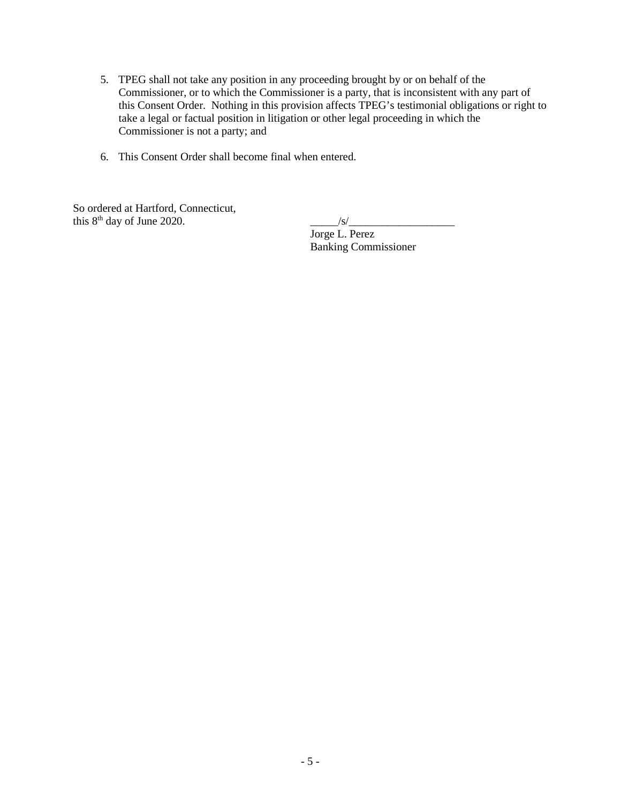- 5. TPEG shall not take any position in any proceeding brought by or on behalf of the Commissioner, or to which the Commissioner is a party, that is inconsistent with any part of this Consent Order. Nothing in this provision affects TPEG's testimonial obligations or right to take a legal or factual position in litigation or other legal proceeding in which the Commissioner is not a party; and
- 6. This Consent Order shall become final when entered.

So ordered at Hartford, Connecticut,<br>this  $8<sup>th</sup>$  day of June 2020.

this 8th day of June 2020. \_\_\_\_\_/s/\_\_\_\_\_\_\_\_\_\_\_\_\_\_\_\_\_\_\_

 $\frac{1}{\text{Jorge L. } \text{Perez}}$ Banking Commissioner